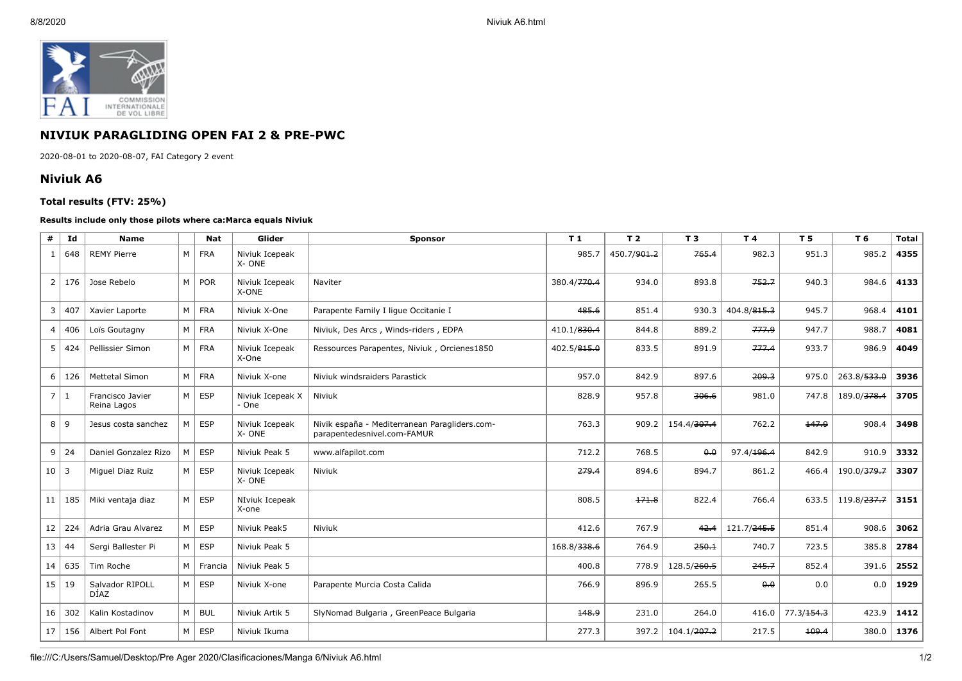

## **NIVIUK PARAGLIDING OPEN FAI 2 & PRE-PWC**

2020-08-01 to 2020-08-07, FAI Category 2 event

## **Niviuk A6**

## **Total results (FTV: 25%)**

## **Results include only those pilots where ca:Marca equals Niviuk**

| #              | Id        | <b>Name</b>                     |                | <b>Nat</b> | Glider                    | <b>Sponsor</b>                                                               | T1                      | T <sub>2</sub> | T 3                     | T 4                 | <b>T5</b>              | T 6         | <b>Total</b> |
|----------------|-----------|---------------------------------|----------------|------------|---------------------------|------------------------------------------------------------------------------|-------------------------|----------------|-------------------------|---------------------|------------------------|-------------|--------------|
| 1              | 648       | <b>REMY Pierre</b>              | M              | <b>FRA</b> | Niviuk Icepeak<br>X-ONE   |                                                                              | 985.7                   | 450.7/901.2    | 765.4                   | 982.3               | 951.3                  | 985.2       | 4355         |
| $\overline{2}$ | 176       | Jose Rebelo                     | M              | <b>POR</b> | Niviuk Icepeak<br>X-ONE   | Naviter                                                                      | 380.4/ <del>770.4</del> | 934.0          | 893.8                   | 752.7               | 940.3                  | 984.6       | 4133         |
| 3              | 407       | Xavier Laporte                  | M <sub>1</sub> | <b>FRA</b> | Niviuk X-One              | Parapente Family I lique Occitanie I                                         | 485.6                   | 851.4          | 930.3                   | 404.8/815.3         | 945.7                  | 968.4       | 4101         |
|                | 4 406     | Loïs Goutagny                   | M              | <b>FRA</b> | Niviuk X-One              | Niviuk, Des Arcs, Winds-riders, EDPA                                         | 410.1/830.4             | 844.8          | 889.2                   | 777.9               | 947.7                  | 988.7       | 4081         |
| 5              | 424       | Pellissier Simon                | M <sub>1</sub> | <b>FRA</b> | Niviuk Icepeak<br>X-One   | Ressources Parapentes, Niviuk, Orcienes1850                                  | 402.5/815.0             | 833.5          | 891.9                   | 777.4               | 933.7                  | 986.9       | 4049         |
| 6              | 126       | <b>Mettetal Simon</b>           | M              | <b>FRA</b> | Niviuk X-one              | Niviuk windsraiders Parastick                                                | 957.0                   | 842.9          | 897.6                   | 209.3               | 975.0                  | 263.8/533.0 | 3936         |
| $\overline{7}$ | $\vert$ 1 | Francisco Javier<br>Reina Lagos | M              | <b>ESP</b> | Niviuk Icepeak X<br>- One | Niviuk                                                                       | 828.9                   | 957.8          | 306.6                   | 981.0               | 747.8                  | 189.0/378.4 | 3705         |
| 8              | ∣9        | Jesus costa sanchez             | M              | <b>ESP</b> | Niviuk Icepeak<br>X-ONE   | Nivik españa - Mediterranean Paragliders.com-<br>parapentedesnivel.com-FAMUR | 763.3                   | 909.2          | 154.4/307.4             | 762.2               | 147.9                  | 908.4       | 3498         |
| 9              | 24        | Daniel Gonzalez Rizo            | M              | <b>ESP</b> | Niviuk Peak 5             | www.alfapilot.com                                                            | 712.2                   | 768.5          | 0.0                     | 97.4/196.4          | 842.9                  | 910.9       | 3332         |
| $10 \mid 3$    |           | Miquel Diaz Ruiz                | M              | <b>ESP</b> | Niviuk Icepeak<br>X-ONE   | Niviuk                                                                       | 279.4                   | 894.6          | 894.7                   | 861.2               | 466.4                  | 190.0/379.7 | 3307         |
| 11             | 185       | Miki ventaja diaz               | M              | <b>ESP</b> | NIviuk Icepeak<br>X-one   |                                                                              | 808.5                   | 171.8          | 822.4                   | 766.4               | 633.5                  | 119.8/237.7 | 3151         |
| 12             | 224       | Adria Grau Alvarez              | M              | <b>ESP</b> | Niviuk Peak5              | Niviuk                                                                       | 412.6                   | 767.9          | 42.4                    | 121.7/245.5         | 851.4                  | 908.6       | 3062         |
| 13             | 44        | Sergi Ballester Pi              | M              | <b>ESP</b> | Niviuk Peak 5             |                                                                              | 168.8/338.6             | 764.9          | 250.1                   | 740.7               | 723.5                  | 385.8       | 2784         |
| 14             | 635       | Tim Roche                       | M              | Francia    | Niviuk Peak 5             |                                                                              | 400.8                   | 778.9          | 128.5/260.5             | 245.7               | 852.4                  | 391.6       | 2552         |
| 15             | 19        | Salvador RIPOLL<br>DÍAZ         | M              | <b>ESP</b> | Niviuk X-one              | Parapente Murcia Costa Calida                                                | 766.9                   | 896.9          | 265.5                   | $\theta$ . $\theta$ | 0.0                    | 0.0         | 1929         |
| 16             | 302       | Kalin Kostadinov                | M              | <b>BUL</b> | Niviuk Artik 5            | SlyNomad Bulgaria, GreenPeace Bulgaria                                       | 148.9                   | 231.0          | 264.0                   | 416.0               | 77.3/ <del>154.3</del> | 423.9       | 1412         |
| 17             | 156       | Albert Pol Font                 | M              | <b>ESP</b> | Niviuk Ikuma              |                                                                              | 277.3                   | 397.2          | 104.1/ <del>207.2</del> | 217.5               | 109.4                  | 380.0       | 1376         |